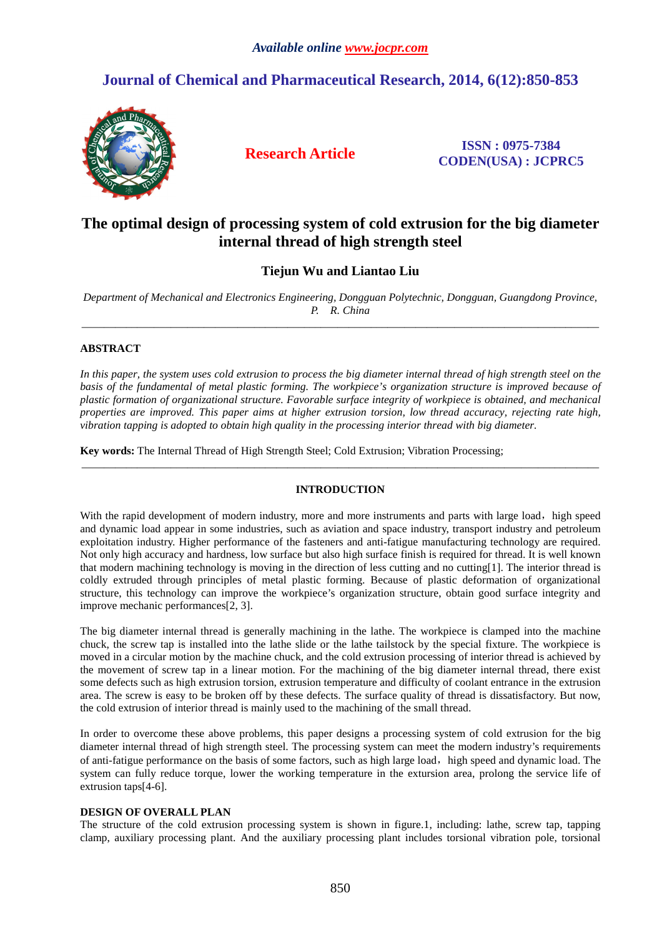# **Journal of Chemical and Pharmaceutical Research, 2014, 6(12):850-853**



**Research Article ISSN : 0975-7384 CODEN(USA) : JCPRC5**

# **The optimal design of processing system of cold extrusion for the big diameter internal thread of high strength steel**

**Tiejun Wu and Liantao Liu**

*Department of Mechanical and Electronics Engineering, Dongguan Polytechnic, Dongguan, Guangdong Province, P. R. China*  \_\_\_\_\_\_\_\_\_\_\_\_\_\_\_\_\_\_\_\_\_\_\_\_\_\_\_\_\_\_\_\_\_\_\_\_\_\_\_\_\_\_\_\_\_\_\_\_\_\_\_\_\_\_\_\_\_\_\_\_\_\_\_\_\_\_\_\_\_\_\_\_\_\_\_\_\_\_\_\_\_\_\_\_\_\_\_\_\_\_\_\_\_

## **ABSTRACT**

In this paper, the system uses cold extrusion to process the big diameter internal thread of high strength steel on the *basis of the fundamental of metal plastic forming. The workpiece's organization structure is improved because of plastic formation of organizational structure. Favorable surface integrity of workpiece is obtained, and mechanical properties are improved. This paper aims at higher extrusion torsion, low thread accuracy, rejecting rate high, vibration tapping is adopted to obtain high quality in the processing interior thread with big diameter.* 

**Key words:** The Internal Thread of High Strength Steel; Cold Extrusion; Vibration Processing;

## **INTRODUCTION**

\_\_\_\_\_\_\_\_\_\_\_\_\_\_\_\_\_\_\_\_\_\_\_\_\_\_\_\_\_\_\_\_\_\_\_\_\_\_\_\_\_\_\_\_\_\_\_\_\_\_\_\_\_\_\_\_\_\_\_\_\_\_\_\_\_\_\_\_\_\_\_\_\_\_\_\_\_\_\_\_\_\_\_\_\_\_\_\_\_\_\_\_\_

With the rapid development of modern industry, more and more instruments and parts with large load, high speed and dynamic load appear in some industries, such as aviation and space industry, transport industry and petroleum exploitation industry. Higher performance of the fasteners and anti-fatigue manufacturing technology are required. Not only high accuracy and hardness, low surface but also high surface finish is required for thread. It is well known that modern machining technology is moving in the direction of less cutting and no cutting[1]. The interior thread is coldly extruded through principles of metal plastic forming. Because of plastic deformation of organizational structure, this technology can improve the workpiece's organization structure, obtain good surface integrity and improve mechanic performances[2, 3].

The big diameter internal thread is generally machining in the lathe. The workpiece is clamped into the machine chuck, the screw tap is installed into the lathe slide or the lathe tailstock by the special fixture. The workpiece is moved in a circular motion by the machine chuck, and the cold extrusion processing of interior thread is achieved by the movement of screw tap in a linear motion. For the machining of the big diameter internal thread, there exist some defects such as high extrusion torsion, extrusion temperature and difficulty of coolant entrance in the extrusion area. The screw is easy to be broken off by these defects. The surface quality of thread is dissatisfactory. But now, the cold extrusion of interior thread is mainly used to the machining of the small thread.

In order to overcome these above problems, this paper designs a processing system of cold extrusion for the big diameter internal thread of high strength steel. The processing system can meet the modern industry's requirements of anti-fatigue performance on the basis of some factors, such as high large load,high speed and dynamic load. The system can fully reduce torque, lower the working temperature in the extursion area, prolong the service life of extrusion taps[4-6].

### **DESIGN OF OVERALL PLAN**

The structure of the cold extrusion processing system is shown in figure.1, including: lathe, screw tap, tapping clamp, auxiliary processing plant. And the auxiliary processing plant includes torsional vibration pole, torsional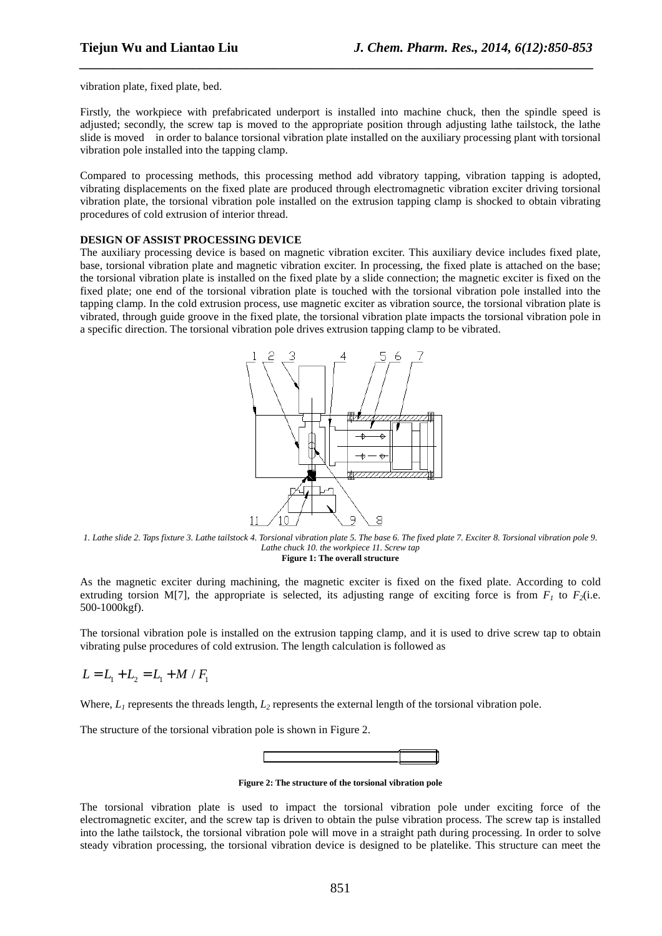vibration plate, fixed plate, bed.

Firstly, the workpiece with prefabricated underport is installed into machine chuck, then the spindle speed is adjusted; secondly, the screw tap is moved to the appropriate position through adjusting lathe tailstock, the lathe slide is moved in order to balance torsional vibration plate installed on the auxiliary processing plant with torsional vibration pole installed into the tapping clamp.

*\_\_\_\_\_\_\_\_\_\_\_\_\_\_\_\_\_\_\_\_\_\_\_\_\_\_\_\_\_\_\_\_\_\_\_\_\_\_\_\_\_\_\_\_\_\_\_\_\_\_\_\_\_\_\_\_\_\_\_\_\_\_\_\_\_\_\_\_\_\_\_\_\_\_\_\_\_*

Compared to processing methods, this processing method add vibratory tapping, vibration tapping is adopted, vibrating displacements on the fixed plate are produced through electromagnetic vibration exciter driving torsional vibration plate, the torsional vibration pole installed on the extrusion tapping clamp is shocked to obtain vibrating procedures of cold extrusion of interior thread.

#### **DESIGN OF ASSIST PROCESSING DEVICE**

The auxiliary processing device is based on magnetic vibration exciter. This auxiliary device includes fixed plate, base, torsional vibration plate and magnetic vibration exciter. In processing, the fixed plate is attached on the base; the torsional vibration plate is installed on the fixed plate by a slide connection; the magnetic exciter is fixed on the fixed plate; one end of the torsional vibration plate is touched with the torsional vibration pole installed into the tapping clamp. In the cold extrusion process, use magnetic exciter as vibration source, the torsional vibration plate is vibrated, through guide groove in the fixed plate, the torsional vibration plate impacts the torsional vibration pole in a specific direction. The torsional vibration pole drives extrusion tapping clamp to be vibrated.



*1. Lathe slide 2. Taps fixture 3. Lathe tailstock 4. Torsional vibration plate 5. The base 6. The fixed plate 7. Exciter 8. Torsional vibration pole 9. Lathe chuck 10. the workpiece 11. Screw tap*  **Figure 1: The overall structure** 

As the magnetic exciter during machining, the magnetic exciter is fixed on the fixed plate. According to cold extruding torsion M[7], the appropriate is selected, its adjusting range of exciting force is from  $F_I$  to  $F_2$ (i.e. 500-1000kgf).

The torsional vibration pole is installed on the extrusion tapping clamp, and it is used to drive screw tap to obtain vibrating pulse procedures of cold extrusion. The length calculation is followed as

$$
L = L_1 + L_2 = L_1 + M / F_1
$$

Where,  $L<sub>1</sub>$  represents the threads length,  $L<sub>2</sub>$  represents the external length of the torsional vibration pole.

The structure of the torsional vibration pole is shown in Figure 2.



**Figure 2: The structure of the torsional vibration pole** 

The torsional vibration plate is used to impact the torsional vibration pole under exciting force of the electromagnetic exciter, and the screw tap is driven to obtain the pulse vibration process. The screw tap is installed into the lathe tailstock, the torsional vibration pole will move in a straight path during processing. In order to solve steady vibration processing, the torsional vibration device is designed to be platelike. This structure can meet the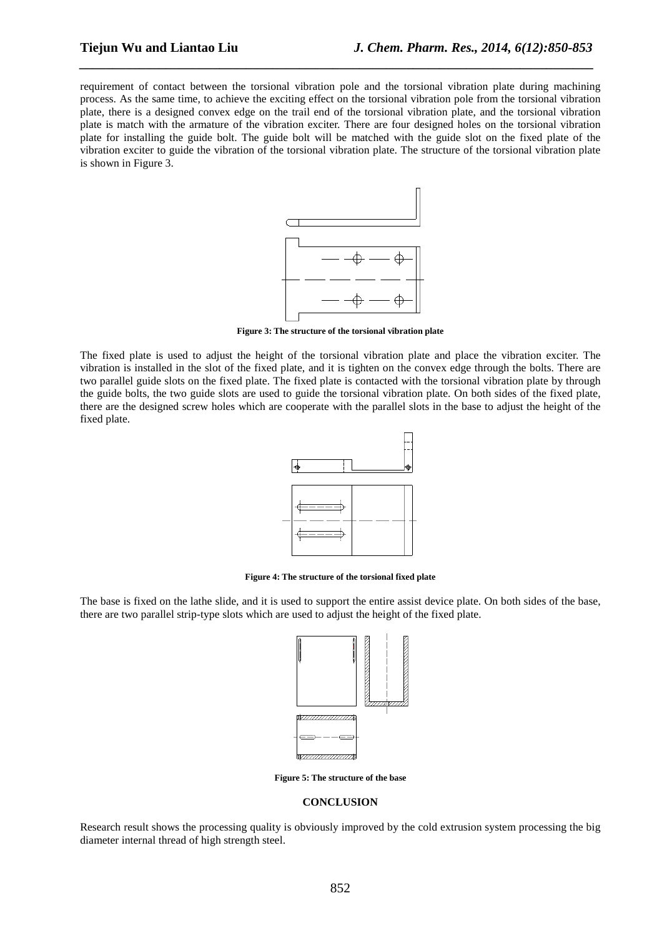requirement of contact between the torsional vibration pole and the torsional vibration plate during machining process. As the same time, to achieve the exciting effect on the torsional vibration pole from the torsional vibration plate, there is a designed convex edge on the trail end of the torsional vibration plate, and the torsional vibration plate is match with the armature of the vibration exciter. There are four designed holes on the torsional vibration plate for installing the guide bolt. The guide bolt will be matched with the guide slot on the fixed plate of the vibration exciter to guide the vibration of the torsional vibration plate. The structure of the torsional vibration plate is shown in Figure 3.

*\_\_\_\_\_\_\_\_\_\_\_\_\_\_\_\_\_\_\_\_\_\_\_\_\_\_\_\_\_\_\_\_\_\_\_\_\_\_\_\_\_\_\_\_\_\_\_\_\_\_\_\_\_\_\_\_\_\_\_\_\_\_\_\_\_\_\_\_\_\_\_\_\_\_\_\_\_*



**Figure 3: The structure of the torsional vibration plate** 

The fixed plate is used to adjust the height of the torsional vibration plate and place the vibration exciter. The vibration is installed in the slot of the fixed plate, and it is tighten on the convex edge through the bolts. There are two parallel guide slots on the fixed plate. The fixed plate is contacted with the torsional vibration plate by through the guide bolts, the two guide slots are used to guide the torsional vibration plate. On both sides of the fixed plate, there are the designed screw holes which are cooperate with the parallel slots in the base to adjust the height of the fixed plate.



**Figure 4: The structure of the torsional fixed plate** 

The base is fixed on the lathe slide, and it is used to support the entire assist device plate. On both sides of the base, there are two parallel strip-type slots which are used to adjust the height of the fixed plate.



**Figure 5: The structure of the base** 

#### **CONCLUSION**

Research result shows the processing quality is obviously improved by the cold extrusion system processing the big diameter internal thread of high strength steel.